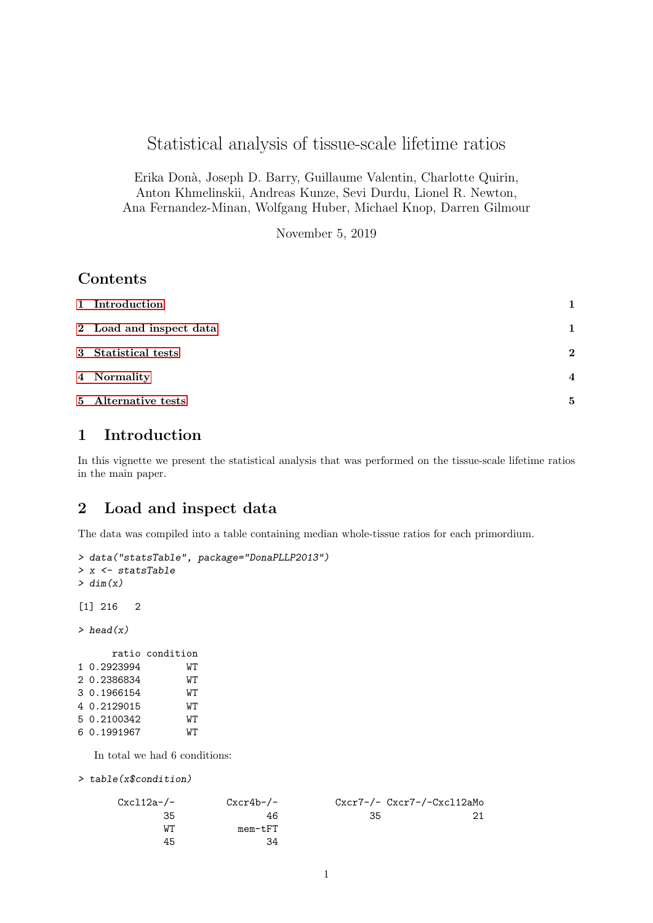# Statistical analysis of tissue-scale lifetime ratios

Erika Don`a, Joseph D. Barry, Guillaume Valentin, Charlotte Quirin, Anton Khmelinskii, Andreas Kunze, Sevi Durdu, Lionel R. Newton, Ana Fernandez-Minan, Wolfgang Huber, Michael Knop, Darren Gilmour

November 5, 2019

## Contents

| 1 Introduction          |                |
|-------------------------|----------------|
| 2 Load and inspect data | 1              |
| 3 Statistical tests     | $\mathbf{2}$   |
| 4 Normality             | $\overline{4}$ |
| 5 Alternative tests     | 5              |

## <span id="page-0-0"></span>1 Introduction

In this vignette we present the statistical analysis that was performed on the tissue-scale lifetime ratios in the main paper.

### <span id="page-0-1"></span>2 Load and inspect data

The data was compiled into a table containing median whole-tissue ratios for each primordium.

```
> data("statsTable", package="DonaPLLP2013")
> x <- statsTable
> dim(x)[1] 216 2
> head(x)
     ratio condition
1 0.2923994 WT
2 0.2386834 WT
3 0.1966154 WT
4 0.2129015 WT
5 0.2100342 WT
```
6 0.1991967 WT

In total we had 6 conditions:

```
> table(x$condition)
```

| $Cxcl12a-/-$ | $Cxcr4b-/-$ |    | $Cxcr7-/- Cxcr7-/-Cxc112aMo$ |
|--------------|-------------|----|------------------------------|
| 35           | 46          | 35 | 21                           |
| WТ           | mem-tFT     |    |                              |
| 45           | 34          |    |                              |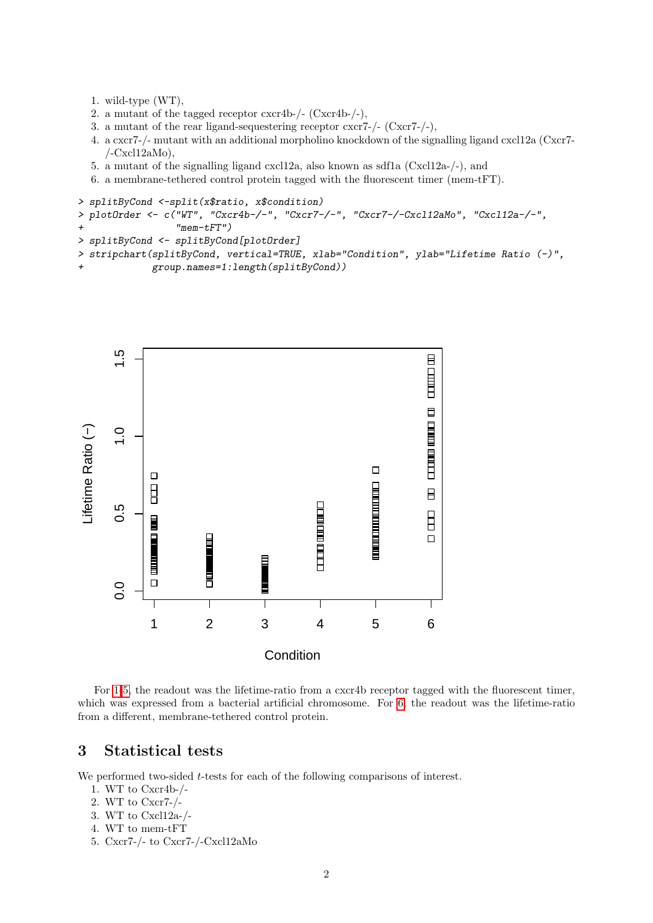- <span id="page-1-1"></span>1. wild-type (WT),
- 2. a mutant of the tagged receptor  $c \, \text{xcr4b-/-}$  (Cxcr4b-/-),
- 3. a mutant of the rear ligand-sequestering receptor  $csc7-/-$  (Cxcr7-/-),
- 4. a cxcr7-/- mutant with an additional morpholino knockdown of the signalling ligand cxcl12a (Cxcr7-  $/$ -Cxcl12aMo),
- <span id="page-1-2"></span>5. a mutant of the signalling ligand cxcl12a, also known as sdf1a (Cxcl12a-/-), and
- <span id="page-1-3"></span>6. a membrane-tethered control protein tagged with the fluorescent timer (mem-tFT).

```
> splitByCond <-split(x$ratio, x$condition)
> plotOrder <- c("WT", "Cxcr4b-/-", "Cxcr7-/-", "Cxcr7-/-Cxcl12aMo", "Cxcl12a-/-",
+ "mem-tFT")
> splitByCond <- splitByCond[plotOrder]
> stripchart(splitByCond, vertical=TRUE, xlab="Condition", ylab="Lifetime Ratio (-)",
```
+ group.names=1:length(splitByCond))



For [1-](#page-1-1)[5,](#page-1-2) the readout was the lifetime-ratio from a cxcr4b receptor tagged with the fluorescent timer, which was expressed from a bacterial artificial chromosome. For [6,](#page-1-3) the readout was the lifetime-ratio from a different, membrane-tethered control protein.

### <span id="page-1-0"></span>3 Statistical tests

We performed two-sided  $t$ -tests for each of the following comparisons of interest.

- 1. WT to Cxcr4b-/-
- 2. WT to Cxcr7-/-
- 3. WT to Cxcl12a-/-
- 4. WT to mem-tFT
- 5. Cxcr7-/- to Cxcr7-/-Cxcl12aMo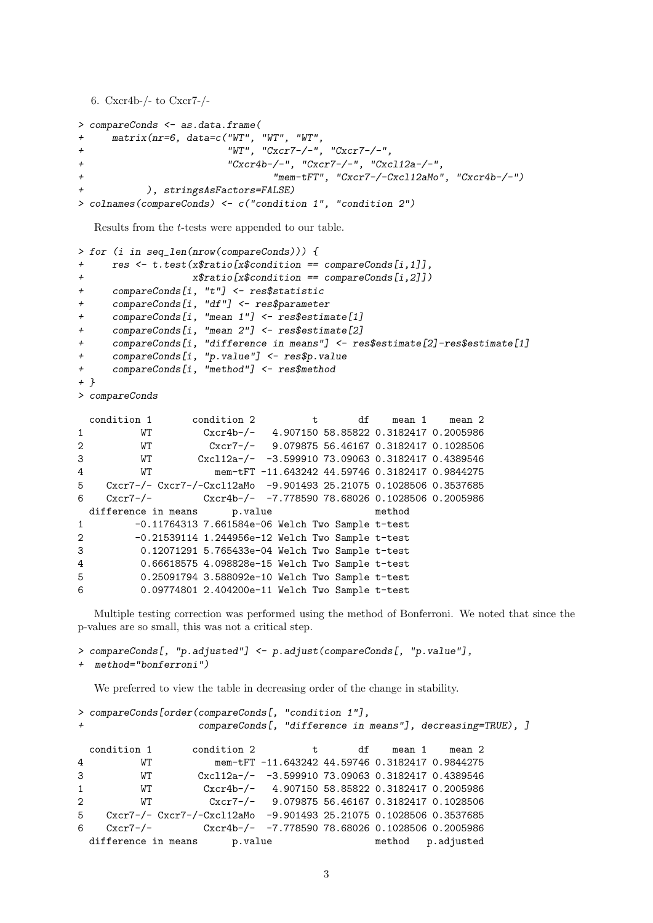```
6. Cxcr4b-/- to Cxcr7-/-
> compareConds <- as.data.frame(
+ matrix(nr=6, data=c("WT", "WT", "WT",
+ "WT", "Cxcr7-/-", "Cxcr7-/-",
+ "Cxcr4b-/-", "Cxcr7-/-", "Cxcl12a-/-",
+ "mem-tFT", "Cxcr7-/-Cxcl12aMo", "Cxcr4b-/-")
         ), stringsAsFactors=FALSE)
> colnames(compareConds) <- c("condition 1", "condition 2")
```
Results from the t-tests were appended to our table.

```
> for (i in seq_len(nrow(compareConds))) {
+ res <- t.test(x$ratio[x$condition == compareConds[i,1]],
+ x$ratio[x$condition == compareConds[i,2]])
+ compareConds[i, "t"] <- res$statistic
+ compareConds[i, "df"] <- res$parameter
+ compareConds[i, "mean 1"] <- res$estimate[1]
+ compareConds[i, "mean 2"] <- res$estimate[2]
+ compareConds[i, "difference in means"] <- res$estimate[2]-res$estimate[1]
+ compareConds[i, "p.value"] <- res$p.value
+ compareConds[i, "method"] <- res$method
+ }
> compareConds
 condition 1 condition 2 that the mean 1 mean 2
1 WT Cxcr4b-/- 4.907150 58.85822 0.3182417 0.2005986
2 WT Cxcr7-/- 9.079875 56.46167 0.3182417 0.1028506
3 WT Cxcl12a-/- -3.599910 73.09063 0.3182417 0.4389546
4 WT mem-tFT -11.643242 44.59746 0.3182417 0.9844275
5 Cxcr7-/- Cxcr7-/-Cxcl12aMo -9.901493 25.21075 0.1028506 0.3537685
6 Cxcr7-/- Cxcr4b-/- -7.778590 78.68026 0.1028506 0.2005986
 difference in means p.value method
1 -0.11764313 7.661584e-06 Welch Two Sample t-test
2 -0.21539114 1.244956e-12 Welch Two Sample t-test
3 0.12071291 5.765433e-04 Welch Two Sample t-test
4 0.66618575 4.098828e-15 Welch Two Sample t-test
5 0.25091794 3.588092e-10 Welch Two Sample t-test
6 0.09774801 2.404200e-11 Welch Two Sample t-test
```
Multiple testing correction was performed using the method of Bonferroni. We noted that since the p-values are so small, this was not a critical step.

> compareConds[, "p.adjusted"] <- p.adjust(compareConds[, "p.value"], + method="bonferroni")

We preferred to view the table in decreasing order of the change in stability.

```
> compareConds[order(compareConds[, "condition 1"],
                compareConds[, "difference in means"], decreasing=TRUE), ]
 condition 1 condition 2 t df mean 1 mean 2
4 WT mem-tFT -11.643242 44.59746 0.3182417 0.9844275
3 WT Cxcl12a-/- -3.599910 73.09063 0.3182417 0.4389546
1 WT Cxcr4b-/- 4.907150 58.85822 0.3182417 0.2005986
2 WT Cxcr7-/- 9.079875 56.46167 0.3182417 0.1028506
5 Cxcr7-/- Cxcr7-/-Cxcl12aMo -9.901493 25.21075 0.1028506 0.3537685
6 Cxcr7-/- Cxcr4b-/- -7.778590 78.68026 0.1028506 0.2005986
 difference in means p.value method p.adjusted
```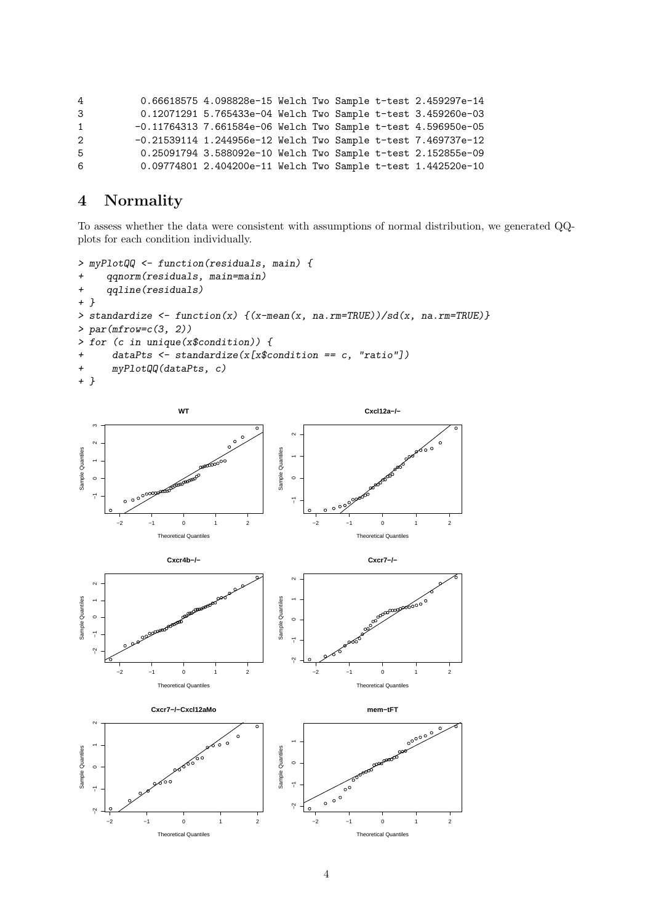| 4            | 0.66618575 4.098828e-15 Welch Two Sample t-test 2.459297e-14    |  |  |  |
|--------------|-----------------------------------------------------------------|--|--|--|
| 3            | 0.12071291 5.765433e-04 Welch Two Sample t-test 3.459260e-03    |  |  |  |
| $\mathbf{1}$ | $-0.11764313$ 7.661584e-06 Welch Two Sample t-test 4.596950e-05 |  |  |  |
| 2            | $-0.21539114$ 1.244956e-12 Welch Two Sample t-test 7.469737e-12 |  |  |  |
| 5            | 0.25091794 3.588092e-10 Welch Two Sample t-test 2.152855e-09    |  |  |  |
| 6            | 0.09774801 2.404200e-11 Welch Two Sample t-test 1.442520e-10    |  |  |  |

# <span id="page-3-0"></span>4 Normality

To assess whether the data were consistent with assumptions of normal distribution, we generated QQplots for each condition individually.

```
> myPlotQQ <- function(residuals, main) {
+ qqnorm(residuals, main=main)
+ qqline(residuals)
+ }
> standardize <- function(x) \{(x-mean(x, na.rm=TRUE))/sd(x, na.rm=TRUE)\}> par(mfrow=c(3, 2))> for (c in unique(x$condition)) {
+ dataPts <- standardize(x[x$condition == c, "ratio"])
+ myPlotQQ(dataPts, c)
+ }
```